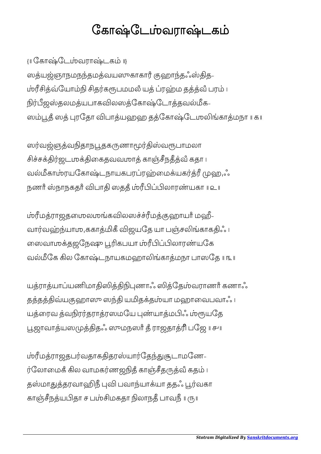## கோஷ்டேம்வராஷ்டகம்

{॥ ேகாேடவராடக ॥}

ஸத்யஜ்ஞாநமநந்தமத்வயஸுகாகாரீ குஹாந்தஃஸ்தித-ம்ரீசித்வ்யோம்நி சிதர்கரூபமமலீ யத் ப்ரஹ்ம தத்த்வீ பரம் ၊ நிர்பீஜஸ்தலமத்யபாகவிலஸத்கோஷ்டோத்தவல்மீக-ஸம்பூதீ ஸத் புரதோ விபாத்யஹஹ தத்கோஷ்டேமலிங்காத்மநா ။ கா

ஸர்வஜ்ஞத்வநிதாநபூதகருணாமூர்திஸ்வரூபாமலா சிச்சக்திர்ஜடமுக்திகைதவவமாத் காஞ்சீநதீத்வீ கதா ၊ வல்மீகாம்ரயகோஷ்டநாயகபரப்ரஹ்மைக்யகர்த்ரீ முஹ,ஃ நணாீ ஸ்நாநகதாீ விபாதி ஸததீ ம்ரீபிப்பிலாரண்யகா ။ உ

ம்ரீமத்ராஜதமைலமங்கவிலஸச்ச்ரீமத்குஹாயாீ மஹீ-வார்வஹ்ந்யாமு,ககாத்மிகீ விஜயதே யா பஞ்சலிங்காகதிஃ ၊ லைவாமக்தஜநேஷு பூரிகபயா ம்ரீபிப்பிலாரண்யகே வல்மீகே கில கோஷ்டநாயகமறைாலிங்காக்மநா பாஸகே ။ ங

யத்ராத்யாப்யணிமாதிஸித்திநிபுணாஃ ஸித்தேம்வராணர் கணாஃ தத்தத்திவ்யகுஹாஸு ஸந்தி யமிதக்தம்யா மஹாவைபவாஃ ၊ யத்ரைவ த்வநிரர்தராத்ரஸமயே புண்யாத்மபிஃ ம்ரூயதே பூஜாவாத்யஸமுத்திதஃ ஸுமநஸாீ தீ ராஜதாத்ரி பஜே ။ சுய

ம்ரீமத்ராஜதபர்வதாகதிதரஸ்யார்தேந்துசூடாமணே-ர்லோமைக் கில வாமகர்ணஜநித் காஞ்சீதருத்வீ கதம் ၊ தஸ்மாதுத்தரவாஹிநீ புவி பவாந்யாக்யா ததஃ பூர்வகா காஞ்சீநத்யபிதா ச பம்சிமகதா நிலாநதீ பாவநீ ॥ ரு॥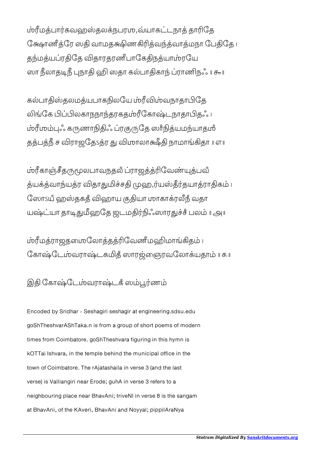<u>ம்ரீமத்பார்கவ</u>ஹஸ்தலக்நபரமு,வ்யாகட்டநாத் தாரிதே க்ஷோணீத்ரே ஸதி வாமதக்ஷிணகிரித்வந்த்வாத்மநா பேதிதே ၊ தந்மத்யப்ரதிதே விதாரதரணீபாகேதிநத்யாம்ரயே ஸா நீலாதடிநீ புநாதி ஹி ஸதா கல்பாதிகாந் ப்ராணிநஃ ။ சுா

கல்பாதிஸ்தலமத்யபாகநிலயே ம்ரீவிம்வநாதாபிதே லிங்கே பிப்பிலகாநநாந்தரகதும்ரீகோஷ்டநாதாபிதஃ ၊ ம்ரீமம்புஃ கருணாநிதிஃ ப்ரகுருதே ஸாீநித்யமந்யாதமீ தத்பத்நீ ச விராஜதேsத்ர து விமாலாக்ஷீதி நாமாங்கிதா ။ எ။

ம்ரீகாஞ்சீதருமூலபாவநதலீ ப்ராஜத்த்ரிவேண்யுத்பவீ த்யக்த்வாந்யத்ர விதாதுமிச்சதி முஹ,ர்யஸ்தீர்தயாத்ராதிகம் ၊ லோsயீ ஹஸ்தகதீ விஹாய குதியா மாகாக்ரலீநீ வதா யஷ்ட்யா தாடிதுமீஹதே ஜடமதிர்நிஃஸாரதுச்சீ பலம் ။ அ။

மரீமத்ராஜதமைலோத்தத்ரிவேணீமஹிமாங்கிதம்। ேகாேடவராடகதஂ ஸாரைஞரவேலாயதா ॥ ௯॥

இதி கோஷ்டேம்வராஷ்டக் ஸம்பூர்ணம்

Encoded by Sridhar - Seshagiri seshagir at engineering.sdsu.edu goShTheshvarAShTaka.n is from a group of short poems of modern times from Coimbatore. goShTheshvara figuring in this hymn is kOTTai Ishvara, in the temple behind the municipal office in the town of Coimbatore. The rAjatashaila in verse 3 (and the last verse) is Valliangiri near Erode; guhA in verse 3 refers to a neighbouring place near BhavAni; triveNI in verse 8 is the sangam at BhavAni, of the KAveri, BhavAni and Noyyal; pippilAraNya